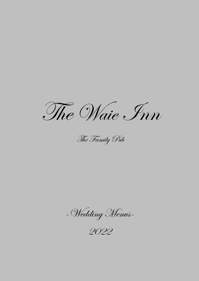The Waie Inn

The Family Pub

-Wedding Menus-

2022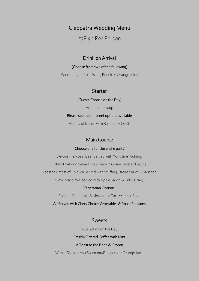# Cleopatra Wedding Menu

£38.50 Per Person

## Drink on Arrival

#### (Choose from two of the following)

Wine spritzer, Rose Wine, Punch or Orange Juice

## **Starter**

#### (Guests Choose on the Day)

Homemade soup

#### Please see the different options available

Medley of Melon with Raspberry Coulis

## Main Course

#### (Choose one for the entire party)

Devonshire Roast Beef Served with Yorkshire Pudding

Fillet of Salmon Served in a Cream & Grainy Mustard Sauce

Roasted Breast of Chicken Served with Stuffing, Bread Sauce & Sausage

Slow Roast Pork served with Apple Sauce & Cider Gravy

#### Vegetarian Options:

Roasted Vegetable & Mozzarella Tart or Lentil Bake

All Served with Chefs Choice Vegetables & Roast Potatoes

## Sweets

A Selection on the Day

#### Freshly Filtered Coffee with Mint

### A Toast to the Bride & Groom

With a Glass of Asti Spumanti/Prosecco or Orange Juice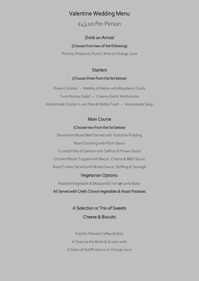# Valentine Wedding Menu

£43.00 Per Person

#### Drink on Arrival

#### (Choose from two of the following)

Pimm's, Prosecco, Punch, Wine or Orange Juice

#### **Starters**

#### (Choose three from the list below)

Prawn Cocktail - Medley of Melon with Raspberry Coulis Tuna Nicoise Salad - Creamy Garlic Mushrooms Homemade Chicken Liver Pate & Melba Toast - Homemade Soup

#### Main Course

#### (Choose two from the list below)

Devonshire Roast Beef Served with Yorkshire Pudding Roast Duckling with Plum Sauce Crusted Fillet of Salmon with Saffron & Prawn Sauce

Chicken Breast Topped with Bacon, Cheese & BBQ Sauce

Roast Turkey Served with Bread Sauce, Stuffing & Sausage

#### Vegetarian Options:

Roasted Vegetable & Mozzarella Tart or Lentil Bake

#### All Served with Chefs Choice Vegetables & Roast Potatoes

A Selection or Trio of Sweets Cheese & Biscuits

Freshly Filtered Coffee & Mint A Toast to the Bride & Groom with A Glass of Asti/Prosecco or Orange Juice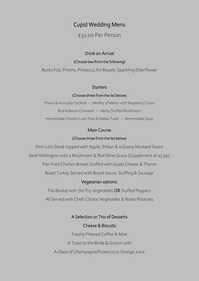# Cupid Wedding Menu

# £51.00 Per Person

#### Drink on Arrival

#### (Choose two from the following)

Bucks Fizz, Pimms, Prosecco, Kir Royale, Sparkling Elderflower

#### **Starters**

#### (Choose three from the list below)

l ֡֕֕ Prawn & Avocado Cocktail - Medley of Melon with Raspberry Coulis Brie & Bacon Croissant - Herby Stuffed Mushroom Homemade Chicken Liver Pate & Melba Toast - Homemade Soup

### Main Course

#### (Choose three from the list below)

Pork Loin Steak topped with Apple, Stilton & a Grainy Mustard Sauce

Beef Wellington with a Mushroom & Red Wine Gravy (Supplement of  $E_5$  pp)

Pan-fried Chicken Breast Stuffed with Goats Cheese & Thyme

Roast Turkey Served with Bread Sauce, Stuffing & Sausage

## Vegetarian options:

Filo Basket with Stir Fry Vegetables OR Stuffed Peppers All Served with Chefs Choice Vegetables & Roast Potatoes

## A Selection or Trio of Desserts

## Cheese & Biscuits

Freshly Filtered Coffee & Mint

A Toast to the Bride & Groom with

A Glass of Champagne/Prosecco or Orange Juice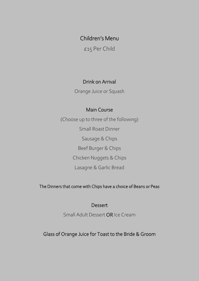Children's Menu

£15 Per Child

# Drink on Arrival

Orange Juice or Squash

# Main Course

(Choose up to three of the following) Small Roast Dinner Sausage & Chips Beef Burger & Chips Chicken Nuggets & Chips Lasagne & Garlic Bread

The Dinners that come with Chips have a choice of Beans or Peas

# **Dessert**

Small Adult Dessert OR Ice Cream

Glass of Orange Juice for Toast to the Bride & Groom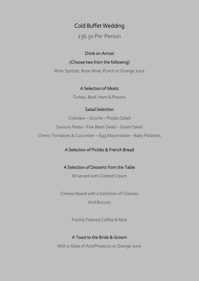# Cold Buffet Wedding

#### $\overline{\phantom{a}}$ £36.50 Per Person

#### Drink on Arrival

#### (Choose two from the following)

Wine Spritzer, Rose Wine, Punch or Orange Juice

### A Selection of Meats

Turkey, Beef, Ham & Prawns

## Salad Selection

Coleslaw – Quiche – Potato Salad

Savoury Pasta – Five Bean Salad – Green Salad

Cherry Tomatoes & Cucumber – Egg Mayonnaise – Baby Potatoes

## A Selection of Pickles & French Bread

## A Selection of Desserts from the Table

All served with Clotted Cream

Cheese Board with a Selection of Cheeses

And Biscuits

Freshly Filtered Coffee & Mint

## A Toast to the Bride & Groom

With a Glass of Asti/Prosecco or Orange Juice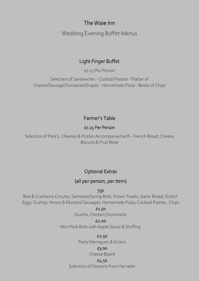# The Waie Inn

Wedding Evening Buffet Menus

# Light Finger Buffet

£7.25 Per Person

Selection of Sandwiches - Cocktail Pasties - Platter of Cheese/Sausage/Tomatoes/Grapes - Homemade Pizza - Bowls of Chips

# Farmer's Table

## £7.25 Per Person

Selection of Pate's, Cheeses & Pickles Accompanied with - French Bread, Cheese Biscuits & Fruit Bowl

# Optional Extras

# (all per person, per item)

## 75p

Brie & Cranberry Croutes, Samosas/Spring Rolls, Prawn Toasts, Garlic Bread, Scotch Eggs, Scampi, Honey & Mustard Sausages, Homemade Pizza, Cocktail Pasties, Chips

## £1.50

Quiche, Chicken Drumsticks

## £2.00

Mini Pork Rolls with Apple Sauce & Stuffing

£2.50

Party Meringues & Eclairs

## £3.00

Cheese Board

£4.50

Selection of Desserts from the table